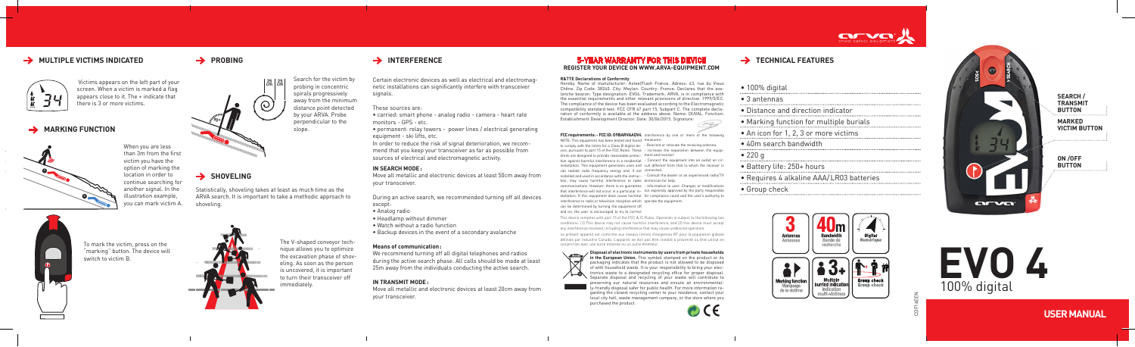# **EVO 4** 100% digital

**USER MANUAL**

## **5-YEAR WARRANTY FOR THIS DEVICE**  $\rightarrow$  **TECHNICAL FEATURES REGISTER YOUR DEVICE ON WWW.ARVA-EQUIPMENT.COM**

can be determined by turning the equipment off and on, the user is encouraged to try to correct

The V-shaped conveyor technique allows you to optimize the excavation phase of shoveling. As soon as the person is uncovered, it is important to turn their transceiver off immediately.

Search for the victim by probing in concentric spirals progressively away from the minimum distance point detected by your ARVA. Probe perpendicular to the slope.

# → PROBING → INTERFERENCE

#### **IN SEARCH MODE:**

Move all metallic and electronic devices at least 50cm away from your transceiver.

During an active search, we recommended turning off all devices except:



- Analog radio
- Headlamp without dimmer
- Watch without a radio function
- Backup devices in the event of a secondary avalanche

to comply with the limits for a Class B digital de-- Reorient or relocate the receiving antenna. vice, pursuant to part 15 of the FCC Rules. These - Increase the separation between the equiplimits are designed to provide reasonable protec-ment and receiver.

#### **Means of communication:**

# To mark the victim, press on the "marking" button. The device will 00000000

 $\rightarrow$  SHOVELING

tion against harmful interference in a residential - Connect the equipment into an outlet on cirinstallation. This equipment generates uses and cuit different from that to which the receiver is can radiate radio frequency energy and, if not connected.

We recommend turning off all digital telephones and radios during the active search phase. All calls should be made at least 25m away from the individuals conducting the active search.

installed and used in accordance with the instruc-- Consult the dealer or an experienced radio/TV tion, may cause harmful interference to radio technician for help.

#### **IN TRANSMIT MODE:**

Move all metallic and electronic devices at least 20cm away from your transceiver.

communications. However, there is no guarantee - Information to user: Changes or modifications that interference will not occur in a particular in-not expressly approved by the party responsible stallation. If this equipment does cause harmful for compliance could void the user's authority to interference to radio or television reception which operate the equipment.

Certain electronic devices as well as electrical and electromagnetic installations can significantly interfere with transceiver signals.

These sources are:

• carried: smart phone - analog radio - camera - heart rate monitors - GPS - etc.

• permanent: relay towers - power lines / electrical generating equipment - ski lifts, etc.

In order to reduce the risk of signal deterioration, we recommend that you keep your transceiver as far as possible from sources of electrical and electromagnetic activity.

Statistically, shoveling takes at least as much time as the ARVA search. It is important to take a methodic approach to

shoveling.





**90°**

**25 cm <sup>25</sup> cm**

 $\odot$ 

switch to victim B.



## **MULTIPLE VICTIMS INDICATED**



 Victims appears on the left part of your screen. When a victim is marked a flag appears close to it. The + indicate that there is 3 or more victims.

## **MARKING FUNCTION**

CDF16EEN

This device complies with part 15 of the FCC & IC Rules. Operation is subject to the following two conditions : (1) This device may not cause harmful interference, and (2) this device must accept any interference received, including interference that may cause undesired operation.

Le présent appareil est conforme aux niveaux limites d'exigences RF pour la population globale définies par Industrie Canada. L'appareil ne doit pas être installé à proximité ou être utilisé en conjonction avec une autre antenne ou un autre émetteur.

#### **Disposal of electronic instruments by users from private households**



**in the European Union.** This symbol stamped on the product or its packaging indicates that the product is not allowed to be disposed of with household waste. It is your responsibility to bring your electronics waste to a designated recycling office for proper disposal. Separate disposal and recycling of your waste will contribute to preserving our natural resources and ensure an environmentally-friendly disposal safer for public health. For more information regarding the closest recycling center to your residence, contact your local city hall, waste management company, or the store where you purchased the product.

 $\mathbf{C} \in$ 



| $\bullet$ 100% digital                   |  |
|------------------------------------------|--|
| $\bullet$ 3 antennas                     |  |
| • Distance and direction indicator       |  |
| • Marking function for multiple burials  |  |
| • An icon for 1, 2, 3 or more victims    |  |
| • 40m search bandwidth                   |  |
| • 220 g                                  |  |
| • Battery life: 250+ hours               |  |
| · Requires 4 alkaline AAA/LR03 batteries |  |
| • Group check                            |  |
|                                          |  |



#### **R&TTE Declarations of Conformity**

Hereby. Name of manufacturer: AsteelFlash France. Adress: 43, rue du Vieux Chêne. Zip Code: 38240. City: Meylan. Country: France. Declares that the avalanche beacon. Type designation: EVO4. Trademark: ARVA, is in compliance with the essential requirements and other relevant provisions of directive. 1999/5/EC. The compliance of the device has been evaluated according to the Electromagnetic compatibility standard test: FCC CFR 47 part 15, Subpart C. The complete declaration of conformity is available at the address above. Name: DUVAL. Fonction: Establishment Development Director. Date: 30/06/2015. Signature:

When you are less

than 3m from the first victim you have the option of marking the location in order to continue searching for another signal. In the illustration example, you can mark victim A.